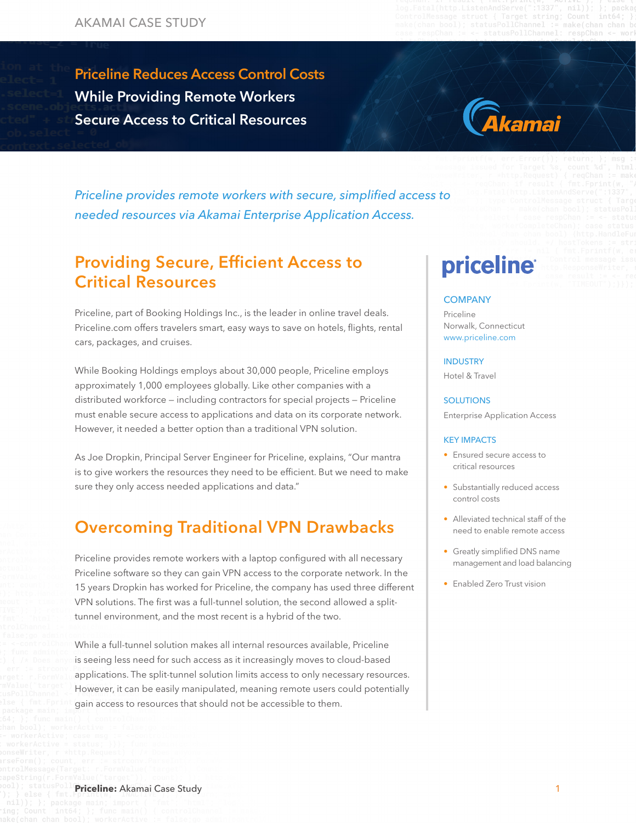Priceline Reduces Access Control Costs While Providing  $R$ Priceline Reduces Access Control Costs While Providing Remote Workers Secure Access to Critical Resources



*Priceline provides remote workers with secure, simplified access to needed resources via Akamai Enterprise Application Access.*

### Providing Secure, Efficient Access to Critical Resources

Priceline, part of Booking Holdings Inc., is the leader in online travel deals. Priceline.com offers travelers smart, easy ways to save on hotels, flights, rental cars, packages, and cruises.

While Booking Holdings employs about 30,000 people, Priceline employs approximately 1,000 employees globally. Like other companies with a distributed workforce — including contractors for special projects — Priceline must enable secure access to applications and data on its corporate network. However, it needed a better option than a traditional VPN solution.

As Joe Dropkin, Principal Server Engineer for Priceline, explains, "Our mantra is to give workers the resources they need to be efficient. But we need to make sure they only access needed applications and data."

### Overcoming Traditional VPN Drawbacks

Priceline provides remote workers with a laptop configured with all necessary Priceline software so they can gain VPN access to the corporate network. In the 15 years Dropkin has worked for Priceline, the company has used three different VPN solutions. The first was a full-tunnel solution, the second allowed a splittunnel environment, and the most recent is a hybrid of the two.

While a full-tunnel solution makes all internal resources available, Priceline is seeing less need for such access as it increasingly moves to cloud-based applications. The split-tunnel solution limits access to only necessary resources. However, it can be easily manipulated, meaning remote users could potentially gain access to resources that should not be accessible to them.

# **priceline**

### **COMPANY**

Priceline Norwalk, Connecticut [www.priceline.com](http://www.priceline.com)

#### INDUSTRY

Hotel & Travel

#### **SOLUTIONS**

Enterprise Application Access

### KEY IMPACTS

- Ensured secure access to critical resources
- Substantially reduced access control costs
- Alleviated technical staff of the need to enable remote access
- Greatly simplified DNS name management and load balancing
- Enabled Zero Trust vision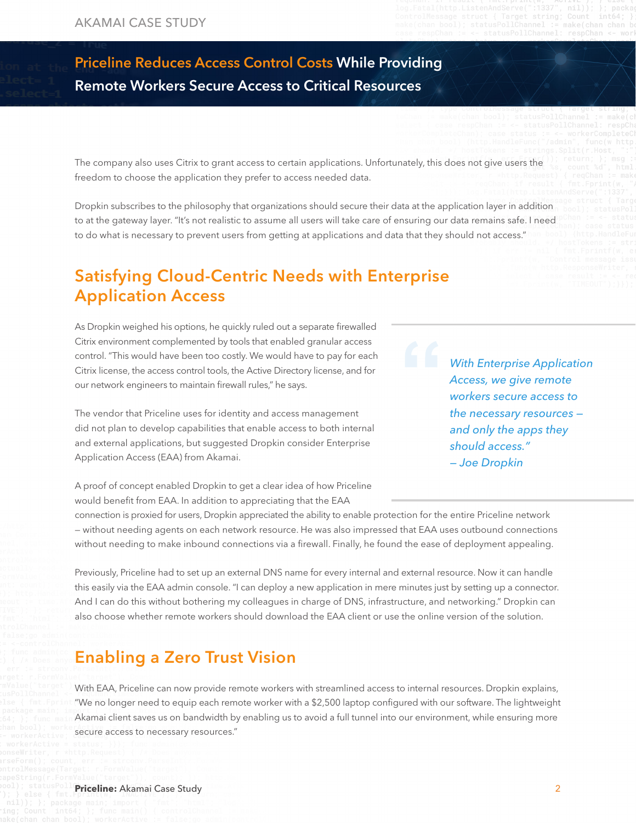## Priceline Reduces Access Control Costs While Providing Remote Workers Secure Access to Critical Resources

The company also uses Citrix to grant access to certain applications. Unfortunately, this does not give users the freedom to choose the application they prefer to access needed data.

Dropkin subscribes to the philosophy that organizations should secure their data at the application layer in addition to at the gateway layer. "It's not realistic to assume all users will take care of ensuring our data remains safe. I need to do what is necessary to prevent users from getting at applications and data that they should not access."

### Satisfying Cloud-Centric Needs with Enterprise Application Access

As Dropkin weighed his options, he quickly ruled out a separate firewalled Citrix environment complemented by tools that enabled granular access control. "This would have been too costly. We would have to pay for each Citrix license, the access control tools, the Active Directory license, and for our network engineers to maintain firewall rules," he says.

The vendor that Priceline uses for identity and access management did not plan to develop capabilities that enable access to both internal and external applications, but suggested Dropkin consider Enterprise Application Access (EAA) from Akamai.

*With Enterprise Application Access, we give remote workers secure access to the necessary resources and only the apps they should access." — Joe Dropkin*

A proof of concept enabled Dropkin to get a clear idea of how Priceline would benefit from EAA. In addition to appreciating that the EAA

connection is proxied for users, Dropkin appreciated the ability to enable protection for the entire Priceline network — without needing agents on each network resource. He was also impressed that EAA uses outbound connections without needing to make inbound connections via a firewall. Finally, he found the ease of deployment appealing.

Previously, Priceline had to set up an external DNS name for every internal and external resource. Now it can handle this easily via the EAA admin console. "I can deploy a new application in mere minutes just by setting up a connector. And I can do this without bothering my colleagues in charge of DNS, infrastructure, and networking." Dropkin can also choose whether remote workers should download the EAA client or use the online version of the solution.

### Enabling a Zero Trust Vision

With EAA, Priceline can now provide remote workers with streamlined access to internal resources. Dropkin explains, "We no longer need to equip each remote worker with a \$2,500 laptop configured with our software. The lightweight Akamai client saves us on bandwidth by enabling us to avoid a full tunnel into our environment, while ensuring more secure access to necessary resources."